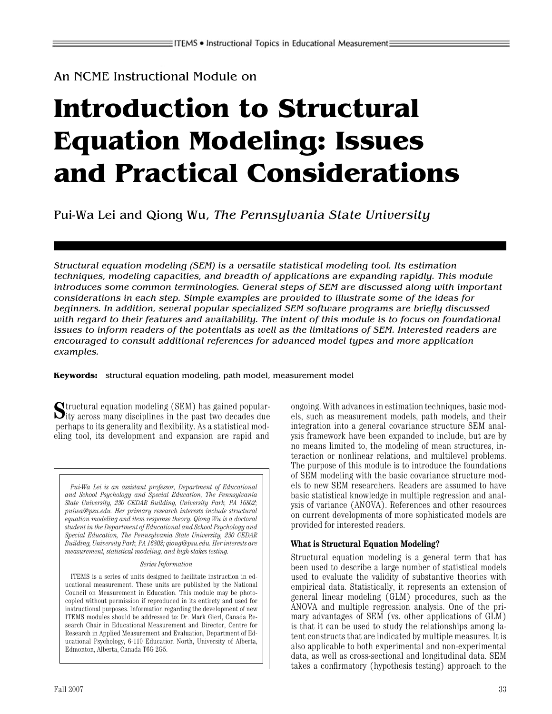# An NCME Instructional Module on

# **Introduction to Structural Equation Modeling: Issues and Practical Considerations**

Pui-Wa Lei and Qiong Wu, *The Pennsylvania State University*

*Structural equation modeling (SEM) is a versatile statistical modeling tool. Its estimation techniques, modeling capacities, and breadth of applications are expanding rapidly. This module introduces some common terminologies. General steps of SEM are discussed along with important considerations in each step. Simple examples are provided to illustrate some of the ideas for beginners. In addition, several popular specialized SEM software programs are briefly discussed with regard to their features and availability. The intent of this module is to focus on foundational issues to inform readers of the potentials as well as the limitations of SEM. Interested readers are encouraged to consult additional references for advanced model types and more application examples.*

**Keywords:** structural equation modeling, path model, measurement model

Structural equation modeling (SEM) has gained popular-<br>ity across many disciplines in the past two decades due perhaps to its generality and flexibility. As a statistical modeling tool, its development and expansion are rapid and

*Pui-Wa Lei is an assistant professor, Department of Educational and School Psychology and Special Education, The Pennsylvania State University, 230 CEDAR Building, University Park, PA 16802; puiwa@psu.edu. Her primary research interests include structural equation modeling and item response theory. Qiong Wu is a doctoral student in the Department of Educational and School Psychology and Special Education, The Pennsylvania State University, 230 CEDAR Building, University Park, PA 16802; qiong@psu.edu. Her interests are measurement, statistical modeling, and high-stakes testing.*

#### *Series Information*

ITEMS is a series of units designed to facilitate instruction in educational measurement. These units are published by the National Council on Measurement in Education. This module may be photocopied without permission if reproduced in its entirety and used for instructional purposes. Information regarding the development of new ITEMS modules should be addressed to: Dr. Mark Gierl, Canada Research Chair in Educational Measurement and Director, Centre for Research in Applied Measurement and Evaluation, Department of Educational Psychology, 6-110 Education North, University of Alberta, Edmonton, Alberta, Canada T6G 2G5.

ongoing. With advances in estimation techniques, basic models, such as measurement models, path models, and their integration into a general covariance structure SEM analysis framework have been expanded to include, but are by no means limited to, the modeling of mean structures, interaction or nonlinear relations, and multilevel problems. The purpose of this module is to introduce the foundations of SEM modeling with the basic covariance structure models to new SEM researchers. Readers are assumed to have basic statistical knowledge in multiple regression and analysis of variance (ANOVA). References and other resources on current developments of more sophisticated models are provided for interested readers.

#### **What is Structural Equation Modeling?**

Structural equation modeling is a general term that has been used to describe a large number of statistical models used to evaluate the validity of substantive theories with empirical data. Statistically, it represents an extension of general linear modeling (GLM) procedures, such as the ANOVA and multiple regression analysis. One of the primary advantages of SEM (vs. other applications of GLM) is that it can be used to study the relationships among latent constructs that are indicated by multiple measures. It is also applicable to both experimental and non-experimental data, as well as cross-sectional and longitudinal data. SEM takes a confirmatory (hypothesis testing) approach to the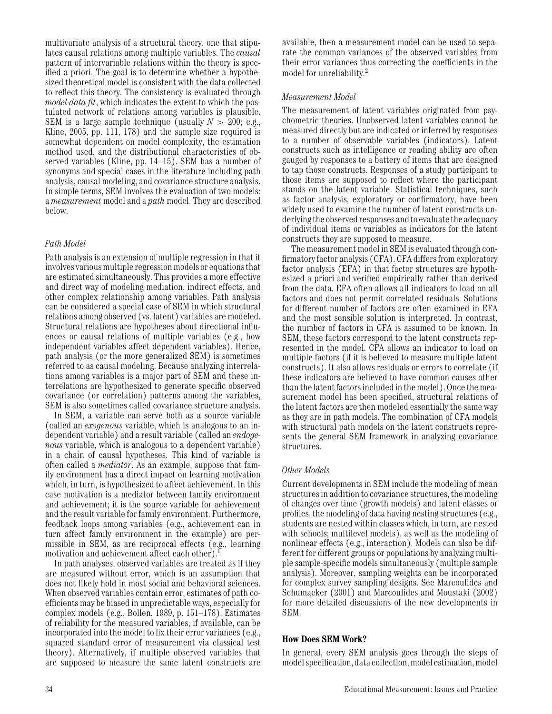multivariate analysis of a structural theory, one that stipulates causal relations among multiple variables. The *causal* pattern of intervariable relations within the theory is specified a priori. The goal is to determine whether a hypothesized theoretical model is consistent with the data collected to reflect this theory. The consistency is evaluated through *model-data fit*, which indicates the extent to which the postulated network of relations among variables is plausible. SEM is a large sample technique (usually  $N > 200$ ; e.g., Kline, 2005, pp. 111, 178) and the sample size required is somewhat dependent on model complexity, the estimation method used, and the distributional characteristics of observed variables (Kline, pp. 14–15). SEM has a number of synonyms and special cases in the literature including path analysis, causal modeling, and covariance structure analysis. In simple terms, SEM involves the evaluation of two models: a *measurement* model and a *path* model. They are described below.

#### *Path Model*

Path analysis is an extension of multiple regression in that it involves various multiple regression models or equations that are estimated simultaneously. This provides a more effective and direct way of modeling mediation, indirect effects, and other complex relationship among variables. Path analysis can be considered a special case of SEM in which structural relations among observed (vs. latent) variables are modeled. Structural relations are hypotheses about directional influences or causal relations of multiple variables (e.g., how independent variables affect dependent variables). Hence, path analysis (or the more generalized SEM) is sometimes referred to as causal modeling. Because analyzing interrelations among variables is a major part of SEM and these interrelations are hypothesized to generate specific observed covariance (or correlation) patterns among the variables, SEM is also sometimes called covariance structure analysis.

In SEM, a variable can serve both as a source variable (called an *exogenous* variable, which is analogous to an independent variable) and a result variable (called an *endogenous* variable, which is analogous to a dependent variable) in a chain of causal hypotheses. This kind of variable is often called a *mediator*. As an example, suppose that family environment has a direct impact on learning motivation which, in turn, is hypothesized to affect achievement. In this case motivation is a mediator between family environment and achievement; it is the source variable for achievement and the result variable for family environment. Furthermore, feedback loops among variables (e.g., achievement can in turn affect family environment in the example) are permissible in SEM, as are reciprocal effects (e.g., learning motivation and achievement affect each other).<sup>1</sup>

In path analyses, observed variables are treated as if they are measured without error, which is an assumption that does not likely hold in most social and behavioral sciences. When observed variables contain error, estimates of path coefficients may be biased in unpredictable ways, especially for complex models (e.g., Bollen, 1989, p. 151–178). Estimates of reliability for the measured variables, if available, can be incorporated into the model to fix their error variances (e.g., squared standard error of measurement via classical test theory). Alternatively, if multiple observed variables that are supposed to measure the same latent constructs are available, then a measurement model can be used to separate the common variances of the observed variables from their error variances thus correcting the coefficients in the model for unreliability.<sup>2</sup>

#### *Measurement Model*

The measurement of latent variables originated from psychometric theories. Unobserved latent variables cannot be measured directly but are indicated or inferred by responses to a number of observable variables (indicators). Latent constructs such as intelligence or reading ability are often gauged by responses to a battery of items that are designed to tap those constructs. Responses of a study participant to those items are supposed to reflect where the participant stands on the latent variable. Statistical techniques, such as factor analysis, exploratory or confirmatory, have been widely used to examine the number of latent constructs underlying the observed responses and to evaluate the adequacy of individual items or variables as indicators for the latent constructs they are supposed to measure.

The measurement model in SEM is evaluated through confirmatory factor analysis (CFA). CFA differs from exploratory factor analysis (EFA) in that factor structures are hypothesized a priori and verified empirically rather than derived from the data. EFA often allows all indicators to load on all factors and does not permit correlated residuals. Solutions for different number of factors are often examined in EFA and the most sensible solution is interpreted. In contrast, the number of factors in CFA is assumed to be known. In SEM, these factors correspond to the latent constructs represented in the model. CFA allows an indicator to load on multiple factors (if it is believed to measure multiple latent constructs). It also allows residuals or errors to correlate (if these indicators are believed to have common causes other than the latent factors included in the model). Once the measurement model has been specified, structural relations of the latent factors are then modeled essentially the same way as they are in path models. The combination of CFA models with structural path models on the latent constructs represents the general SEM framework in analyzing covariance structures.

#### *Other Models*

Current developments in SEM include the modeling of mean structures in addition to covariance structures, the modeling of changes over time (growth models) and latent classes or profiles, the modeling of data having nesting structures (e.g., students are nested within classes which, in turn, are nested with schools; multilevel models), as well as the modeling of nonlinear effects (e.g., interaction). Models can also be different for different groups or populations by analyzing multiple sample-specific models simultaneously (multiple sample analysis). Moreover, sampling weights can be incorporated for complex survey sampling designs. See Marcoulides and Schumacker (2001) and Marcoulides and Moustaki (2002) for more detailed discussions of the new developments in SEM.

#### **How Does SEM Work?**

In general, every SEM analysis goes through the steps of model specification, data collection, model estimation, model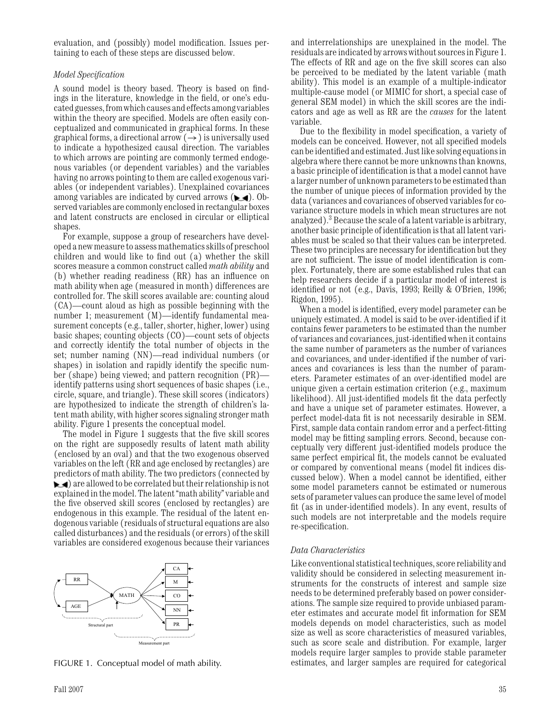evaluation, and (possibly) model modification. Issues pertaining to each of these steps are discussed below.

#### *Model Specification*

A sound model is theory based. Theory is based on findings in the literature, knowledge in the field, or one's educated guesses, from which causes and effects among variables within the theory are specified. Models are often easily conceptualized and communicated in graphical forms. In these graphical forms, a directional arrow  $(\rightarrow)$  is universally used to indicate a hypothesized causal direction. The variables to which arrows are pointing are commonly termed endogenous variables (or dependent variables) and the variables having no arrows pointing to them are called exogenous variables (or independent variables). Unexplained covariances among variables are indicated by curved arrows  $(\Box)$ . Observed variables are commonly enclosed in rectangular boxes and latent constructs are enclosed in circular or elliptical shapes.

For example, suppose a group of researchers have developed a new measure to assess mathematics skills of preschool children and would like to find out (a) whether the skill scores measure a common construct called *math ability* and (b) whether reading readiness (RR) has an influence on math ability when age (measured in month) differences are controlled for. The skill scores available are: counting aloud (CA)—count aloud as high as possible beginning with the number 1; measurement (M)—identify fundamental measurement concepts (e.g., taller, shorter, higher, lower) using basic shapes; counting objects (CO)—count sets of objects and correctly identify the total number of objects in the set; number naming (NN)—read individual numbers (or shapes) in isolation and rapidly identify the specific number (shape) being viewed; and pattern recognition (PR) identify patterns using short sequences of basic shapes (i.e., circle, square, and triangle). These skill scores (indicators) are hypothesized to indicate the strength of children's latent math ability, with higher scores signaling stronger math ability. Figure 1 presents the conceptual model.

The model in Figure 1 suggests that the five skill scores on the right are supposedly results of latent math ability (enclosed by an oval) and that the two exogenous observed variables on the left (RR and age enclosed by rectangles) are predictors of math ability. The two predictors (connected by ) are allowed to be correlated but their relationship is not explained in the model. The latent "math ability" variable and the five observed skill scores (enclosed by rectangles) are endogenous in this example. The residual of the latent endogenous variable (residuals of structural equations are also called disturbances) and the residuals (or errors) of the skill variables are considered exogenous because their variances



FIGURE 1. Conceptual model of math ability.

and interrelationships are unexplained in the model. The residuals are indicated by arrows without sources in Figure 1. The effects of RR and age on the five skill scores can also be perceived to be mediated by the latent variable (math ability). This model is an example of a multiple-indicator multiple-cause model (or MIMIC for short, a special case of general SEM model) in which the skill scores are the indicators and age as well as RR are the *causes* for the latent variable.

Due to the flexibility in model specification, a variety of models can be conceived. However, not all specified models can be identified and estimated. Just like solving equations in algebra where there cannot be more unknowns than knowns, a basic principle of identification is that a model cannot have a larger number of unknown parameters to be estimated than the number of unique pieces of information provided by the data (variances and covariances of observed variables for covariance structure models in which mean structures are not analyzed).<sup>3</sup> Because the scale of a latent variable is arbitrary, another basic principle of identification is that all latent variables must be scaled so that their values can be interpreted. These two principles are necessary for identification but they are not sufficient. The issue of model identification is complex. Fortunately, there are some established rules that can help researchers decide if a particular model of interest is identified or not (e.g., Davis, 1993; Reilly & O'Brien, 1996; Rigdon, 1995).

When a model is identified, every model parameter can be uniquely estimated. A model is said to be over-identified if it contains fewer parameters to be estimated than the number of variances and covariances, just-identified when it contains the same number of parameters as the number of variances and covariances, and under-identified if the number of variances and covariances is less than the number of parameters. Parameter estimates of an over-identified model are unique given a certain estimation criterion (e.g., maximum likelihood). All just-identified models fit the data perfectly and have a unique set of parameter estimates. However, a perfect model-data fit is not necessarily desirable in SEM. First, sample data contain random error and a perfect-fitting model may be fitting sampling errors. Second, because conceptually very different just-identified models produce the same perfect empirical fit, the models cannot be evaluated or compared by conventional means (model fit indices discussed below). When a model cannot be identified, either some model parameters cannot be estimated or numerous sets of parameter values can produce the same level of model fit (as in under-identified models). In any event, results of such models are not interpretable and the models require re-specification.

#### *Data Characteristics*

Like conventional statistical techniques, score reliability and validity should be considered in selecting measurement instruments for the constructs of interest and sample size needs to be determined preferably based on power considerations. The sample size required to provide unbiased parameter estimates and accurate model fit information for SEM models depends on model characteristics, such as model size as well as score characteristics of measured variables, such as score scale and distribution. For example, larger models require larger samples to provide stable parameter estimates, and larger samples are required for categorical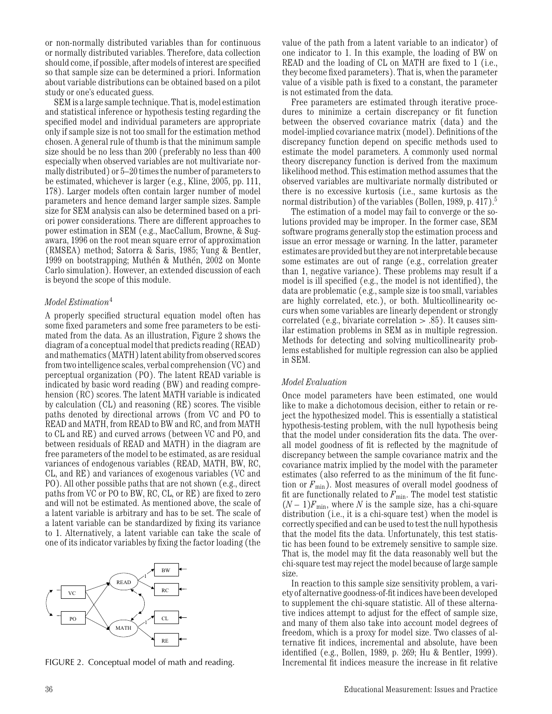or non-normally distributed variables than for continuous or normally distributed variables. Therefore, data collection should come, if possible, after models of interest are specified so that sample size can be determined a priori. Information about variable distributions can be obtained based on a pilot study or one's educated guess.

SEM is a large sample technique. That is, model estimation and statistical inference or hypothesis testing regarding the specified model and individual parameters are appropriate only if sample size is not too small for the estimation method chosen. A general rule of thumb is that the minimum sample size should be no less than 200 (preferably no less than 400 especially when observed variables are not multivariate normally distributed) or 5–20 times the number of parameters to be estimated, whichever is larger (e.g., Kline, 2005, pp. 111, 178). Larger models often contain larger number of model parameters and hence demand larger sample sizes. Sample size for SEM analysis can also be determined based on a priori power considerations. There are different approaches to power estimation in SEM (e.g., MacCallum, Browne, & Sugawara, 1996 on the root mean square error of approximation (RMSEA) method; Satorra & Saris, 1985; Yung & Bentler, 1999 on bootstrapping; Muthén & Muthén, 2002 on Monte Carlo simulation). However, an extended discussion of each is beyond the scope of this module.

#### *Model Estimation*<sup>4</sup>

A properly specified structural equation model often has some fixed parameters and some free parameters to be estimated from the data. As an illustration, Figure 2 shows the diagram of a conceptual model that predicts reading (READ) and mathematics (MATH) latent ability from observed scores from two intelligence scales, verbal comprehension (VC) and perceptual organization (PO). The latent READ variable is indicated by basic word reading (BW) and reading comprehension (RC) scores. The latent MATH variable is indicated by calculation (CL) and reasoning (RE) scores. The visible paths denoted by directional arrows (from VC and PO to READ and MATH, from READ to BW and RC, and from MATH to CL and RE) and curved arrows (between VC and PO, and between residuals of READ and MATH) in the diagram are free parameters of the model to be estimated, as are residual variances of endogenous variables (READ, MATH, BW, RC, CL, and RE) and variances of exogenous variables (VC and PO). All other possible paths that are not shown (e.g., direct paths from VC or PO to BW, RC, CL, or RE) are fixed to zero and will not be estimated. As mentioned above, the scale of a latent variable is arbitrary and has to be set. The scale of a latent variable can be standardized by fixing its variance to 1. Alternatively, a latent variable can take the scale of one of its indicator variables by fixing the factor loading (the



FIGURE 2. Conceptual model of math and reading.

value of the path from a latent variable to an indicator) of one indicator to 1. In this example, the loading of BW on READ and the loading of CL on MATH are fixed to 1 (i.e., they become fixed parameters). That is, when the parameter value of a visible path is fixed to a constant, the parameter is not estimated from the data.

Free parameters are estimated through iterative procedures to minimize a certain discrepancy or fit function between the observed covariance matrix (data) and the model-implied covariance matrix (model). Definitions of the discrepancy function depend on specific methods used to estimate the model parameters. A commonly used normal theory discrepancy function is derived from the maximum likelihood method. This estimation method assumes that the observed variables are multivariate normally distributed or there is no excessive kurtosis (i.e., same kurtosis as the normal distribution) of the variables (Bollen, 1989, p. 417). $^5$ 

The estimation of a model may fail to converge or the solutions provided may be improper. In the former case, SEM software programs generally stop the estimation process and issue an error message or warning. In the latter, parameter estimates are provided but they are not interpretable because some estimates are out of range (e.g., correlation greater than 1, negative variance). These problems may result if a model is ill specified (e.g., the model is not identified), the data are problematic (e.g., sample size is too small, variables are highly correlated, etc.), or both. Multicollinearity occurs when some variables are linearly dependent or strongly correlated (e.g., bivariate correlation  $> .85$ ). It causes similar estimation problems in SEM as in multiple regression. Methods for detecting and solving multicollinearity problems established for multiple regression can also be applied in SEM.

#### *Model Evaluation*

Once model parameters have been estimated, one would like to make a dichotomous decision, either to retain or reject the hypothesized model. This is essentially a statistical hypothesis-testing problem, with the null hypothesis being that the model under consideration fits the data. The overall model goodness of fit is reflected by the magnitude of discrepancy between the sample covariance matrix and the covariance matrix implied by the model with the parameter estimates (also referred to as the minimum of the fit function or  $F_{\text{min}}$ ). Most measures of overall model goodness of fit are functionally related to  $F_{\text{min}}$ . The model test statistic  $(N-1)F_{\min}$ , where *N* is the sample size, has a chi-square distribution (i.e., it is a chi-square test) when the model is correctly specified and can be used to test the null hypothesis that the model fits the data. Unfortunately, this test statistic has been found to be extremely sensitive to sample size. That is, the model may fit the data reasonably well but the chi-square test may reject the model because of large sample size.

In reaction to this sample size sensitivity problem, a variety of alternative goodness-of-fit indices have been developed to supplement the chi-square statistic. All of these alternative indices attempt to adjust for the effect of sample size, and many of them also take into account model degrees of freedom, which is a proxy for model size. Two classes of alternative fit indices, incremental and absolute, have been identified (e.g., Bollen, 1989, p. 269; Hu & Bentler, 1999). Incremental fit indices measure the increase in fit relative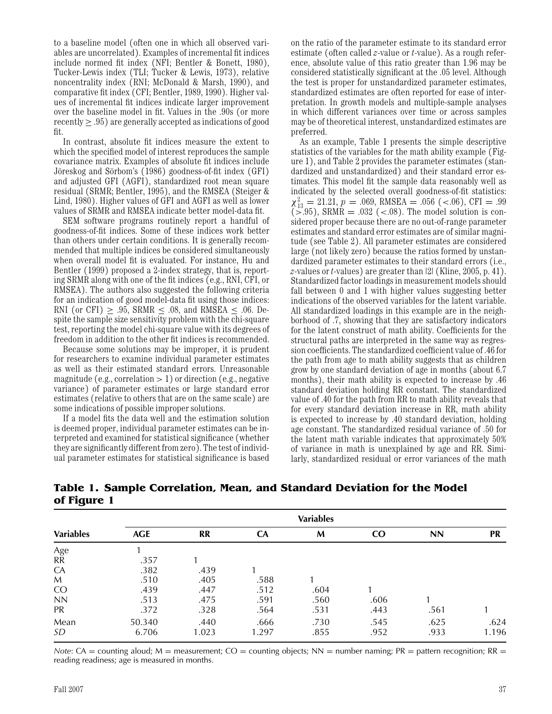to a baseline model (often one in which all observed variables are uncorrelated). Examples of incremental fit indices include normed fit index (NFI; Bentler & Bonett, 1980), Tucker-Lewis index (TLI; Tucker & Lewis, 1973), relative noncentrality index (RNI; McDonald & Marsh, 1990), and comparative fit index (CFI; Bentler, 1989, 1990). Higher values of incremental fit indices indicate larger improvement over the baseline model in fit. Values in the .90s (or more recently  $\geq$  .95) are generally accepted as indications of good fit.

In contrast, absolute fit indices measure the extent to which the specified model of interest reproduces the sample covariance matrix. Examples of absolute fit indices include Jöreskog and Sörbom's (1986) goodness-of-fit index (GFI) and adjusted GFI (AGFI), standardized root mean square residual (SRMR; Bentler, 1995), and the RMSEA (Steiger & Lind, 1980). Higher values of GFI and AGFI as well as lower values of SRMR and RMSEA indicate better model-data fit.

SEM software programs routinely report a handful of goodness-of-fit indices. Some of these indices work better than others under certain conditions. It is generally recommended that multiple indices be considered simultaneously when overall model fit is evaluated. For instance, Hu and Bentler (1999) proposed a 2-index strategy, that is, reporting SRMR along with one of the fit indices (e.g., RNI, CFI, or RMSEA). The authors also suggested the following criteria for an indication of good model-data fit using those indices: RNI (or CFI)  $\geq$  .95, SRMR  $\leq$  .08, and RMSEA  $\leq$  .06. Despite the sample size sensitivity problem with the chi-square test, reporting the model chi-square value with its degrees of freedom in addition to the other fit indices is recommended.

Because some solutions may be improper, it is prudent for researchers to examine individual parameter estimates as well as their estimated standard errors. Unreasonable magnitude (e.g., correlation  $> 1$ ) or direction (e.g., negative variance) of parameter estimates or large standard error estimates (relative to others that are on the same scale) are some indications of possible improper solutions.

If a model fits the data well and the estimation solution is deemed proper, individual parameter estimates can be interpreted and examined for statistical significance (whether they are significantly different from zero). The test of individual parameter estimates for statistical significance is based

on the ratio of the parameter estimate to its standard error estimate (often called *z*-value or *t*-value). As a rough reference, absolute value of this ratio greater than 1.96 may be considered statistically significant at the .05 level. Although the test is proper for unstandardized parameter estimates, standardized estimates are often reported for ease of interpretation. In growth models and multiple-sample analyses in which different variances over time or across samples may be of theoretical interest, unstandardized estimates are preferred.

As an example, Table 1 presents the simple descriptive statistics of the variables for the math ability example (Figure 1), and Table 2 provides the parameter estimates (standardized and unstandardized) and their standard error estimates. This model fit the sample data reasonably well as indicated by the selected overall goodness-of-fit statistics:  $\chi_{13}^2 = 21.21, p = .069, \text{RMSEA} = .056$  (<.06), CFI = .99  $(5.95)$ , SRMR = .032 (<.08). The model solution is considered proper because there are no out-of-range parameter estimates and standard error estimates are of similar magnitude (see Table 2). All parameter estimates are considered large (not likely zero) because the ratios formed by unstandardized parameter estimates to their standard errors (i.e., *z*-values or *t*-values) are greater than |2| (Kline, 2005, p. 41). Standardized factor loadings in measurement models should fall between 0 and 1 with higher values suggesting better indications of the observed variables for the latent variable. All standardized loadings in this example are in the neighborhood of .7, showing that they are satisfactory indicators for the latent construct of math ability. Coefficients for the structural paths are interpreted in the same way as regression coefficients. The standardized coefficient value of .46 for the path from age to math ability suggests that as children grow by one standard deviation of age in months (about 6.7 months), their math ability is expected to increase by .46 standard deviation holding RR constant. The standardized value of .40 for the path from RR to math ability reveals that for every standard deviation increase in RR, math ability is expected to increase by .40 standard deviation, holding age constant. The standardized residual variance of .50 for the latent math variable indicates that approximately 50% of variance in math is unexplained by age and RR. Similarly, standardized residual or error variances of the math

|                  | <b>Variables</b> |           |           |      |          |           |           |  |
|------------------|------------------|-----------|-----------|------|----------|-----------|-----------|--|
| <b>Variables</b> | <b>AGE</b>       | <b>RR</b> | <b>CA</b> | M    | $\rm CO$ | <b>NN</b> | <b>PR</b> |  |
|                  |                  |           |           |      |          |           |           |  |
| Age<br>RR        | .357             |           |           |      |          |           |           |  |
| CA               | .382             | .439      |           |      |          |           |           |  |
| ${\sf M}$        | .510             | .405      | .588      |      |          |           |           |  |
| CO               | .439             | .447      | .512      | .604 |          |           |           |  |
| <b>NN</b>        | .513             | .475      | .591      | .560 | .606     |           |           |  |
| PR               | .372             | .328      | .564      | .531 | .443     | .561      |           |  |
| Mean             | 50.340           | .440      | .666      | .730 | .545     | .625      | .624      |  |
| SD               | 6.706            | 1.023     | 1.297     | .855 | .952     | .933      | 1.196     |  |

**Table 1. Sample Correlation, Mean, and Standard Deviation for the Model of Figure 1**

*Note*:  $CA =$  counting aloud;  $M =$  measurement;  $CO =$  counting objects;  $NN =$  number naming;  $PR =$  pattern recognition;  $RR =$ reading readiness; age is measured in months.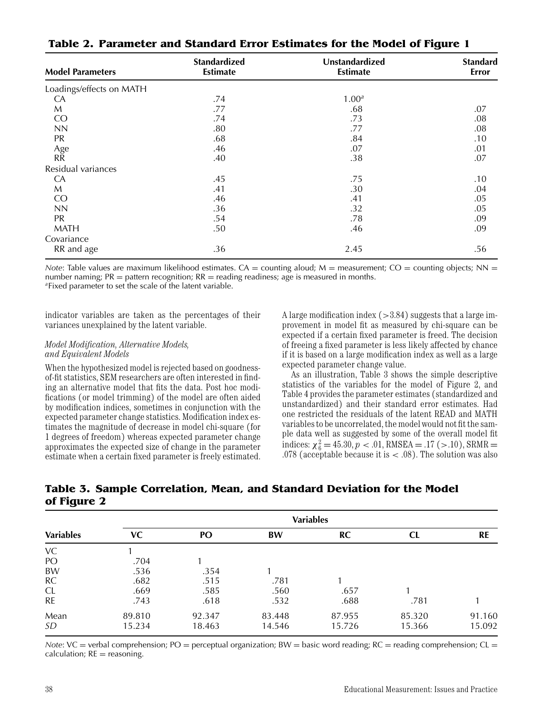| <b>Model Parameters</b>  | <b>Standardized</b><br><b>Estimate</b> | Unstandardized<br><b>Estimate</b> | <b>Standard</b><br>Error |
|--------------------------|----------------------------------------|-----------------------------------|--------------------------|
| Loadings/effects on MATH |                                        |                                   |                          |
| CA                       | .74                                    | 1.00 <sup>a</sup>                 |                          |
| M                        | .77                                    | .68                               | .07                      |
| CO                       | .74                                    | .73                               | .08                      |
| <b>NN</b>                | .80                                    | .77                               | .08                      |
| <b>PR</b>                | .68                                    | .84                               | .10                      |
| Age                      | .46                                    | .07                               | .01                      |
| <b>RR</b>                | .40                                    | .38                               | .07                      |
| Residual variances       |                                        |                                   |                          |
| CA                       | .45                                    | .75                               | .10                      |
| $\mathsf{M}$             | .41                                    | .30                               | .04                      |
| CO                       | .46                                    | .41                               | .05                      |
| <b>NN</b>                | .36                                    | .32                               | .05                      |
| <b>PR</b>                | .54                                    | .78                               | .09                      |
| <b>MATH</b>              | .50                                    | .46                               | .09                      |
| Covariance               |                                        |                                   |                          |
| RR and age               | .36                                    | 2.45                              | .56                      |

# **Table 2. Parameter and Standard Error Estimates for the Model of Figure 1**

*Note*: Table values are maximum likelihood estimates. CA = counting aloud;  $M$  = measurement; CO = counting objects; NN = number naming; PR = pattern recognition; RR = reading readiness; age is measured in months. *a*Fixed parameter to set the scale of the latent variable.

indicator variables are taken as the percentages of their variances unexplained by the latent variable.

### *Model Modification, Alternative Models, and Equivalent Models*

When the hypothesized model is rejected based on goodnessof-fit statistics, SEM researchers are often interested in finding an alternative model that fits the data. Post hoc modifications (or model trimming) of the model are often aided by modification indices, sometimes in conjunction with the expected parameter change statistics. Modification index estimates the magnitude of decrease in model chi-square (for 1 degrees of freedom) whereas expected parameter change approximates the expected size of change in the parameter estimate when a certain fixed parameter is freely estimated. A large modification index  $(>3.84)$  suggests that a large improvement in model fit as measured by chi-square can be expected if a certain fixed parameter is freed. The decision of freeing a fixed parameter is less likely affected by chance if it is based on a large modification index as well as a large expected parameter change value.

As an illustration, Table 3 shows the simple descriptive statistics of the variables for the model of Figure 2, and Table 4 provides the parameter estimates (standardized and unstandardized) and their standard error estimates. Had one restricted the residuals of the latent READ and MATH variables to be uncorrelated, the model would not fit the sample data well as suggested by some of the overall model fit indices:  $\chi^2_6 = 45.30, p < .01, RMSEA = .17$  (>.10), SRMR = .078 (acceptable because it is < .08). The solution was also

# **Table 3. Sample Correlation, Mean, and Standard Deviation for the Model of Figure 2**

|                  |        | <b>Variables</b> |           |        |           |        |  |  |
|------------------|--------|------------------|-----------|--------|-----------|--------|--|--|
| <b>Variables</b> | VC     | <b>PO</b>        | <b>BW</b> | RC     | <b>CL</b> | RE     |  |  |
| VC               |        |                  |           |        |           |        |  |  |
| PO               | .704   |                  |           |        |           |        |  |  |
| <b>BW</b>        | .536   | .354             |           |        |           |        |  |  |
| <b>RC</b>        | .682   | .515             | .781      |        |           |        |  |  |
| CL               | .669   | .585             | .560      | .657   |           |        |  |  |
| <b>RE</b>        | .743   | .618             | .532      | .688   | .781      |        |  |  |
| Mean             | 89.810 | 92.347           | 83.448    | 87.955 | 85.320    | 91.160 |  |  |
| <i>SD</i>        | 15.234 | 18.463           | 14.546    | 15.726 | 15.366    | 15.092 |  |  |

*Note*: VC = verbal comprehension; PO = perceptual organization; BW = basic word reading; RC = reading comprehension; CL =  $calculation; RE = reasoning.$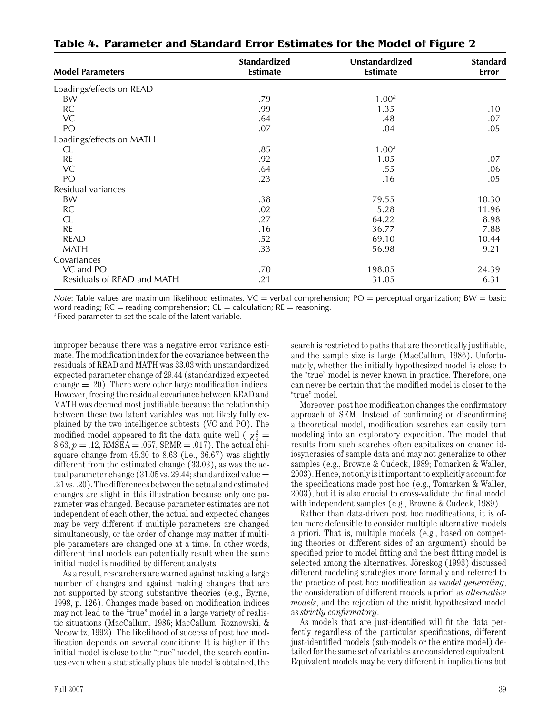| <b>Model Parameters</b>    | <b>Standardized</b><br><b>Estimate</b> | Unstandardized<br><b>Estimate</b> | <b>Standard</b><br><b>Error</b> |
|----------------------------|----------------------------------------|-----------------------------------|---------------------------------|
| Loadings/effects on READ   |                                        |                                   |                                 |
| BW                         | .79                                    | 1.00 <sup>a</sup>                 |                                 |
| RC                         | .99                                    | 1.35                              | .10                             |
| VC                         | .64                                    | .48                               | .07                             |
| PO                         | .07                                    | .04                               | .05                             |
| Loadings/effects on MATH   |                                        |                                   |                                 |
| CL                         | .85                                    | 1.00 <sup>a</sup>                 |                                 |
| RE                         | .92                                    | 1.05                              | .07                             |
| VC                         | .64                                    | .55                               | .06                             |
| PO                         | .23                                    | .16                               | .05                             |
| Residual variances         |                                        |                                   |                                 |
| <b>BW</b>                  | .38                                    | 79.55                             | 10.30                           |
| RC                         | .02                                    | 5.28                              | 11.96                           |
| CL                         | .27                                    | 64.22                             | 8.98                            |
| <b>RE</b>                  | .16                                    | 36.77                             | 7.88                            |
| <b>READ</b>                | .52                                    | 69.10                             | 10.44                           |
| <b>MATH</b>                | .33                                    | 56.98                             | 9.21                            |
| Covariances                |                                        |                                   |                                 |
| VC and PO                  | .70                                    | 198.05                            | 24.39                           |
| Residuals of READ and MATH | .21                                    | 31.05                             | 6.31                            |

# **Table 4. Parameter and Standard Error Estimates for the Model of Figure 2**

*Note*: Table values are maximum likelihood estimates. VC = verbal comprehension; PO = perceptual organization; BW = basic word reading; RC = reading comprehension; CL = calculation; RE = reasoning. *a*Fixed parameter to set the scale of the latent variable.

improper because there was a negative error variance estimate. The modification index for the covariance between the residuals of READ and MATH was 33.03 with unstandardized expected parameter change of 29.44 (standardized expected change  $= .20$ ). There were other large modification indices. However, freeing the residual covariance between READ and MATH was deemed most justifiable because the relationship between these two latent variables was not likely fully explained by the two intelligence subtests (VC and PO). The modified model appeared to fit the data quite well  $(\chi^2_{5} = 0.28 \times 10^{-10})$  $8.63, p = .12, RMSEA = .057, SRMR = .017$ . The actual chisquare change from 45.30 to 8.63 (i.e., 36.67) was slightly different from the estimated change (33.03), as was the actual parameter change  $(31.05 \text{ vs. } 29.44; \text{ standardized value} =$ .21 vs. .20). The differences between the actual and estimated changes are slight in this illustration because only one parameter was changed. Because parameter estimates are not independent of each other, the actual and expected changes may be very different if multiple parameters are changed simultaneously, or the order of change may matter if multiple parameters are changed one at a time. In other words, different final models can potentially result when the same initial model is modified by different analysts.

As a result, researchers are warned against making a large number of changes and against making changes that are not supported by strong substantive theories (e.g., Byrne, 1998, p. 126). Changes made based on modification indices may not lead to the "true" model in a large variety of realistic situations (MacCallum, 1986; MacCallum, Roznowski, & Necowitz, 1992). The likelihood of success of post hoc modification depends on several conditions: It is higher if the initial model is close to the "true" model, the search continues even when a statistically plausible model is obtained, the

search is restricted to paths that are theoretically justifiable, and the sample size is large (MacCallum, 1986). Unfortunately, whether the initially hypothesized model is close to the "true" model is never known in practice. Therefore, one can never be certain that the modified model is closer to the "true" model.

Moreover, post hoc modification changes the confirmatory approach of SEM. Instead of confirming or disconfirming a theoretical model, modification searches can easily turn modeling into an exploratory expedition. The model that results from such searches often capitalizes on chance idiosyncrasies of sample data and may not generalize to other samples (e.g., Browne & Cudeck, 1989; Tomarken & Waller, 2003). Hence, not only is it important to explicitly account for the specifications made post hoc (e.g., Tomarken & Waller, 2003), but it is also crucial to cross-validate the final model with independent samples (e.g., Browne & Cudeck, 1989).

Rather than data-driven post hoc modifications, it is often more defensible to consider multiple alternative models a priori. That is, multiple models (e.g., based on competing theories or different sides of an argument) should be specified prior to model fitting and the best fitting model is selected among the alternatives. Jöreskog (1993) discussed different modeling strategies more formally and referred to the practice of post hoc modification as *model generating*, the consideration of different models a priori as *alternative models*, and the rejection of the misfit hypothesized model as *strictly confirmatory*.

As models that are just-identified will fit the data perfectly regardless of the particular specifications, different just-identified models (sub-models or the entire model) detailed for the same set of variables are considered equivalent. Equivalent models may be very different in implications but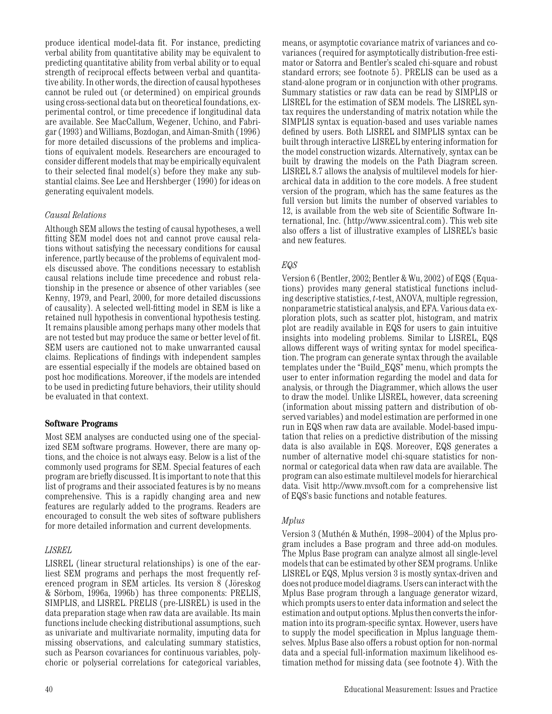produce identical model-data fit. For instance, predicting verbal ability from quantitative ability may be equivalent to predicting quantitative ability from verbal ability or to equal strength of reciprocal effects between verbal and quantitative ability. In other words, the direction of causal hypotheses cannot be ruled out (or determined) on empirical grounds using cross-sectional data but on theoretical foundations, experimental control, or time precedence if longitudinal data are available. See MacCallum, Wegener, Uchino, and Fabrigar (1993) and Williams, Bozdogan, and Aiman-Smith (1996) for more detailed discussions of the problems and implications of equivalent models. Researchers are encouraged to consider different models that may be empirically equivalent to their selected final model(s) before they make any substantial claims. See Lee and Hershberger (1990) for ideas on generating equivalent models.

### *Causal Relations*

Although SEM allows the testing of causal hypotheses, a well fitting SEM model does not and cannot prove causal relations without satisfying the necessary conditions for causal inference, partly because of the problems of equivalent models discussed above. The conditions necessary to establish causal relations include time precedence and robust relationship in the presence or absence of other variables (see Kenny, 1979, and Pearl, 2000, for more detailed discussions of causality). A selected well-fitting model in SEM is like a retained null hypothesis in conventional hypothesis testing. It remains plausible among perhaps many other models that are not tested but may produce the same or better level of fit. SEM users are cautioned not to make unwarranted causal claims. Replications of findings with independent samples are essential especially if the models are obtained based on post hoc modifications. Moreover, if the models are intended to be used in predicting future behaviors, their utility should be evaluated in that context.

# **Software Programs**

Most SEM analyses are conducted using one of the specialized SEM software programs. However, there are many options, and the choice is not always easy. Below is a list of the commonly used programs for SEM. Special features of each program are briefly discussed. It is important to note that this list of programs and their associated features is by no means comprehensive. This is a rapidly changing area and new features are regularly added to the programs. Readers are encouraged to consult the web sites of software publishers for more detailed information and current developments.

# *LISREL*

LISREL (linear structural relationships) is one of the earliest SEM programs and perhaps the most frequently referenced program in SEM articles. Its version 8 (Jöreskog & Sorbom, 1996a, 1996b) has three components: PRELIS, ¨ SIMPLIS, and LISREL. PRELIS (pre-LISREL) is used in the data preparation stage when raw data are available. Its main functions include checking distributional assumptions, such as univariate and multivariate normality, imputing data for missing observations, and calculating summary statistics, such as Pearson covariances for continuous variables, polychoric or polyserial correlations for categorical variables,

means, or asymptotic covariance matrix of variances and covariances (required for asymptotically distribution-free estimator or Satorra and Bentler's scaled chi-square and robust standard errors; see footnote 5). PRELIS can be used as a stand-alone program or in conjunction with other programs. Summary statistics or raw data can be read by SIMPLIS or LISREL for the estimation of SEM models. The LISREL syntax requires the understanding of matrix notation while the SIMPLIS syntax is equation-based and uses variable names defined by users. Both LISREL and SIMPLIS syntax can be built through interactive LISREL by entering information for the model construction wizards. Alternatively, syntax can be built by drawing the models on the Path Diagram screen. LISREL 8.7 allows the analysis of multilevel models for hierarchical data in addition to the core models. A free student version of the program, which has the same features as the full version but limits the number of observed variables to 12, is available from the web site of Scientific Software International, Inc. (http://www.ssicentral.com). This web site also offers a list of illustrative examples of LISREL's basic and new features.

# *EQS*

Version 6 (Bentler, 2002; Bentler & Wu, 2002) of EQS (Equations) provides many general statistical functions including descriptive statistics, *t*-test, ANOVA, multiple regression, nonparametric statistical analysis, and EFA. Various data exploration plots, such as scatter plot, histogram, and matrix plot are readily available in EQS for users to gain intuitive insights into modeling problems. Similar to LISREL, EQS allows different ways of writing syntax for model specification. The program can generate syntax through the available templates under the "Build\_EQS" menu, which prompts the user to enter information regarding the model and data for analysis, or through the Diagrammer, which allows the user to draw the model. Unlike LISREL, however, data screening (information about missing pattern and distribution of observed variables) and model estimation are performed in one run in EQS when raw data are available. Model-based imputation that relies on a predictive distribution of the missing data is also available in EQS. Moreover, EQS generates a number of alternative model chi-square statistics for nonnormal or categorical data when raw data are available. The program can also estimate multilevel models for hierarchical data. Visit http://www.mvsoft.com for a comprehensive list of EQS's basic functions and notable features.

# *Mplus*

Version 3 (Muthén & Muthén, 1998–2004) of the Mplus program includes a Base program and three add-on modules. The Mplus Base program can analyze almost all single-level models that can be estimated by other SEM programs. Unlike LISREL or EQS, Mplus version 3 is mostly syntax-driven and does not produce model diagrams. Users can interact with the Mplus Base program through a language generator wizard, which prompts users to enter data information and select the estimation and output options. Mplus then converts the information into its program-specific syntax. However, users have to supply the model specification in Mplus language themselves. Mplus Base also offers a robust option for non-normal data and a special full-information maximum likelihood estimation method for missing data (see footnote 4). With the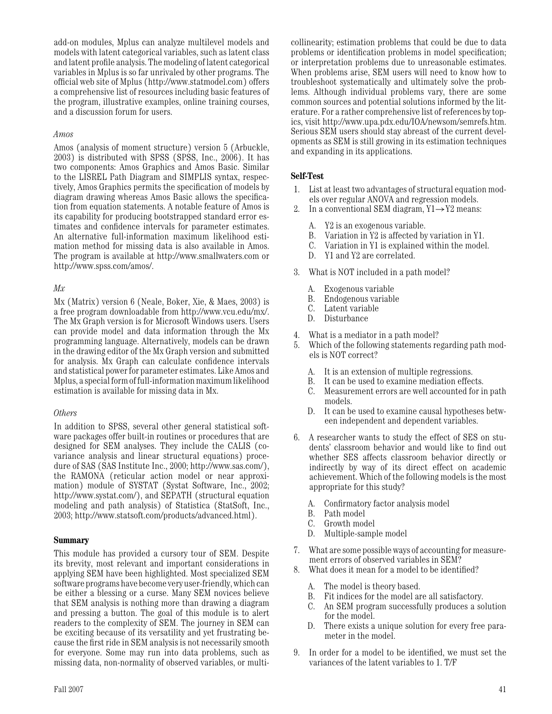add-on modules, Mplus can analyze multilevel models and models with latent categorical variables, such as latent class and latent profile analysis. The modeling of latent categorical variables in Mplus is so far unrivaled by other programs. The official web site of Mplus (http://www.statmodel.com) offers a comprehensive list of resources including basic features of the program, illustrative examples, online training courses, and a discussion forum for users.

#### *Amos*

Amos (analysis of moment structure) version 5 (Arbuckle, 2003) is distributed with SPSS (SPSS, Inc., 2006). It has two components: Amos Graphics and Amos Basic. Similar to the LISREL Path Diagram and SIMPLIS syntax, respectively, Amos Graphics permits the specification of models by diagram drawing whereas Amos Basic allows the specification from equation statements. A notable feature of Amos is its capability for producing bootstrapped standard error estimates and confidence intervals for parameter estimates. An alternative full-information maximum likelihood estimation method for missing data is also available in Amos. The program is available at http://www.smallwaters.com or http://www.spss.com/amos/.

### *Mx*

Mx (Matrix) version 6 (Neale, Boker, Xie, & Maes, 2003) is a free program downloadable from http://www.vcu.edu/mx/. The Mx Graph version is for Microsoft Windows users. Users can provide model and data information through the Mx programming language. Alternatively, models can be drawn in the drawing editor of the Mx Graph version and submitted for analysis. Mx Graph can calculate confidence intervals and statistical power for parameter estimates. Like Amos and Mplus, a special form of full-information maximum likelihood estimation is available for missing data in Mx.

#### *Others*

In addition to SPSS, several other general statistical software packages offer built-in routines or procedures that are designed for SEM analyses. They include the CALIS (covariance analysis and linear structural equations) procedure of SAS (SAS Institute Inc., 2000; http://www.sas.com/), the RAMONA (reticular action model or near approximation) module of SYSTAT (Systat Software, Inc., 2002; http://www.systat.com/), and SEPATH (structural equation modeling and path analysis) of Statistica (StatSoft, Inc., 2003; http://www.statsoft.com/products/advanced.html).

# **Summary**

This module has provided a cursory tour of SEM. Despite its brevity, most relevant and important considerations in applying SEM have been highlighted. Most specialized SEM software programs have become very user-friendly, which can be either a blessing or a curse. Many SEM novices believe that SEM analysis is nothing more than drawing a diagram and pressing a button. The goal of this module is to alert readers to the complexity of SEM. The journey in SEM can be exciting because of its versatility and yet frustrating because the first ride in SEM analysis is not necessarily smooth for everyone. Some may run into data problems, such as missing data, non-normality of observed variables, or multicollinearity; estimation problems that could be due to data problems or identification problems in model specification; or interpretation problems due to unreasonable estimates. When problems arise, SEM users will need to know how to troubleshoot systematically and ultimately solve the problems. Although individual problems vary, there are some common sources and potential solutions informed by the literature. For a rather comprehensive list of references by topics, visit http://www.upa.pdx.edu/IOA/newsom/semrefs.htm. Serious SEM users should stay abreast of the current developments as SEM is still growing in its estimation techniques and expanding in its applications.

# **Self-Test**

- 1. List at least two advantages of structural equation models over regular ANOVA and regression models.
- In a conventional SEM diagram,  $Y1\rightarrow Y2$  means:
	- A. Y2 is an exogenous variable.
	- B. Variation in Y2 is affected by variation in Y1.
	- C. Variation in Y1 is explained within the model.<br>D. Y1 and Y2 are correlated.
	- Y1 and Y2 are correlated.
- 3. What is NOT included in a path model?
	- A. Exogenous variable
	- B. Endogenous variable
	- C. Latent variable
	- D. Disturbance
- 4. What is a mediator in a path model?
- 5. Which of the following statements regarding path models is NOT correct?
	- A. It is an extension of multiple regressions.
	- B. It can be used to examine mediation effects.
	- C. Measurement errors are well accounted for in path models.
	- D. It can be used to examine causal hypotheses between independent and dependent variables.
- 6. A researcher wants to study the effect of SES on students' classroom behavior and would like to find out whether SES affects classroom behavior directly or indirectly by way of its direct effect on academic achievement. Which of the following models is the most appropriate for this study?
	- A. Confirmatory factor analysis model
	- B. Path model
	- C. Growth model
	- D. Multiple-sample model
- 7. What are some possible ways of accounting for measurement errors of observed variables in SEM?
- 8. What does it mean for a model to be identified?
	- A. The model is theory based.
	- B. Fit indices for the model are all satisfactory.
	- C. An SEM program successfully produces a solution for the model.
	- D. There exists a unique solution for every free parameter in the model.
- 9. In order for a model to be identified, we must set the variances of the latent variables to 1. T/F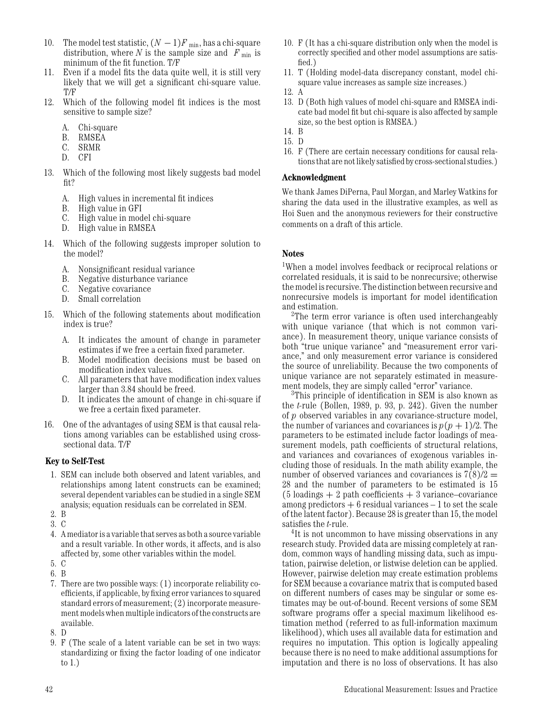- 10. The model test statistic,  $(N 1)F$ <sub>min</sub>, has a chi-square distribution, where  $N$  is the sample size and  $F_{\min}$  is minimum of the fit function. T/F
- 11. Even if a model fits the data quite well, it is still very likely that we will get a significant chi-square value. T/F
- 12. Which of the following model fit indices is the most sensitive to sample size?
	- A. Chi-square
	- B. RMSEA
	- C. SRMR
	- D. CFI
- 13. Which of the following most likely suggests bad model fit?
	- A. High values in incremental fit indices
	-
	- B. High value in GFI High value in model chi-square
	- D. High value in RMSEA
- 14. Which of the following suggests improper solution to the model?
	- A. Nonsignificant residual variance
	- B. Negative disturbance variance
	- Negative covariance
	- D. Small correlation
- 15. Which of the following statements about modification index is true?
	- A. It indicates the amount of change in parameter estimates if we free a certain fixed parameter.
	- B. Model modification decisions must be based on modification index values.
	- C. All parameters that have modification index values larger than 3.84 should be freed.
	- D. It indicates the amount of change in chi-square if we free a certain fixed parameter.
- 16. One of the advantages of using SEM is that causal relations among variables can be established using crosssectional data. T/F

# **Key to Self-Test**

- 1. SEM can include both observed and latent variables, and relationships among latent constructs can be examined; several dependent variables can be studied in a single SEM analysis; equation residuals can be correlated in SEM.
- 2. B
- 3. C
- 4. A mediator is a variable that serves as both a source variable and a result variable. In other words, it affects, and is also affected by, some other variables within the model.
- 5. C
- 6. B
- 7. There are two possible ways: (1) incorporate reliability coefficients, if applicable, by fixing error variances to squared standard errors of measurement; (2) incorporate measurement models when multiple indicators of the constructs are available.
- 8. D
- 9. F (The scale of a latent variable can be set in two ways: standardizing or fixing the factor loading of one indicator to 1.)
- 10. F (It has a chi-square distribution only when the model is correctly specified and other model assumptions are satisfied.)
- 11. T (Holding model-data discrepancy constant, model chisquare value increases as sample size increases.)

- 13. D (Both high values of model chi-square and RMSEA indicate bad model fit but chi-square is also affected by sample size, so the best option is RMSEA.)
- 14. B
- 15. D
- 16. F (There are certain necessary conditions for causal relations that are not likely satisfied by cross-sectional studies.)

# **Acknowledgment**

We thank James DiPerna, Paul Morgan, and Marley Watkins for sharing the data used in the illustrative examples, as well as Hoi Suen and the anonymous reviewers for their constructive comments on a draft of this article.

# **Notes**

1 When a model involves feedback or reciprocal relations or correlated residuals, it is said to be nonrecursive; otherwise the model is recursive. The distinction between recursive and nonrecursive models is important for model identification and estimation.

 $2$ The term error variance is often used interchangeably with unique variance (that which is not common variance). In measurement theory, unique variance consists of both "true unique variance" and "measurement error variance," and only measurement error variance is considered the source of unreliability. Because the two components of unique variance are not separately estimated in measurement models, they are simply called "error" variance.

3 This principle of identification in SEM is also known as the *t-*rule (Bollen, 1989, p. 93, p. 242). Given the number of *p* observed variables in any covariance-structure model, the number of variances and covariances is  $p(p + 1)/2$ . The parameters to be estimated include factor loadings of measurement models, path coefficients of structural relations, and variances and covariances of exogenous variables including those of residuals. In the math ability example, the number of observed variances and covariances is  $7(8)/2 =$ 28 and the number of parameters to be estimated is 15  $(5$  loadings  $+ 2$  path coefficients  $+ 3$  variance–covariance among predictors  $+ 6$  residual variances  $- 1$  to set the scale of the latent factor). Because 28 is greater than 15, the model satisfies the *t-*rule.

<sup>4</sup>It is not uncommon to have missing observations in any research study. Provided data are missing completely at random, common ways of handling missing data, such as imputation, pairwise deletion, or listwise deletion can be applied. However, pairwise deletion may create estimation problems for SEM because a covariance matrix that is computed based on different numbers of cases may be singular or some estimates may be out-of-bound. Recent versions of some SEM software programs offer a special maximum likelihood estimation method (referred to as full-information maximum likelihood), which uses all available data for estimation and requires no imputation. This option is logically appealing because there is no need to make additional assumptions for imputation and there is no loss of observations. It has also

<sup>12.</sup> A